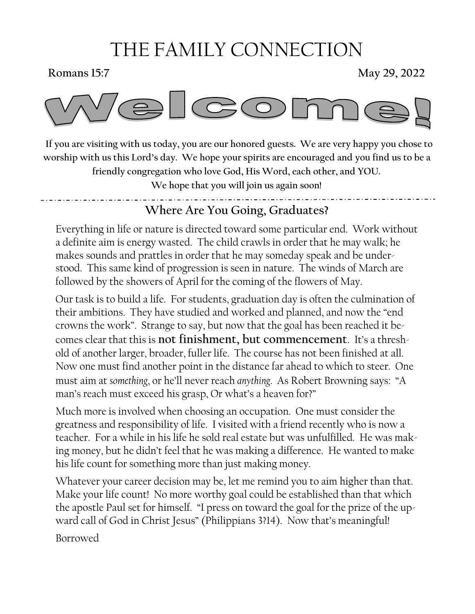# THE FAMILY CONNECTION

**Romans 15:7** May 29, 2022



 **If you are visiting with us today, you are our honored guests. We are very happy you chose to worship with us this Lord's day. We hope your spirits are encouraged and you find us to be a friendly congregation who love God, His Word, each other, and YOU.** 

**We hope that you will join us again soon!**

**Where Are You Going, Graduates?**

Everything in life or nature is directed toward some particular end. Work without a definite aim is energy wasted. The child crawls in order that he may walk; he makes sounds and prattles in order that he may someday speak and be understood. This same kind of progression is seen in nature. The winds of March are followed by the showers of April for the coming of the flowers of May.

Our task is to build a life. For students, graduation day is often the culmination of their ambitions. They have studied and worked and planned, and now the "end crowns the work". Strange to say, but now that the goal has been reached it becomes clear that this is **not finishment, but commencement**. It's a threshold of another larger, broader, fuller life. The course has not been finished at all. Now one must find another point in the distance far ahead to which to steer. One must aim at *something*, or he'll never reach *anything*. As Robert Browning says: "A man's reach must exceed his grasp, Or what's a heaven for?"

Much more is involved when choosing an occupation. One must consider the greatness and responsibility of life. I visited with a friend recently who is now a teacher. For a while in his life he sold real estate but was unfulfilled. He was making money, but he didn't feel that he was making a difference. He wanted to make his life count for something more than just making money.

Whatever your career decision may be, let me remind you to aim higher than that. Make your life count! No more worthy goal could be established than that which the apostle Paul set for himself. "I press on toward the goal for the prize of the upward call of God in Christ Jesus" (Philippians 3?14). Now that's meaningful! Borrowed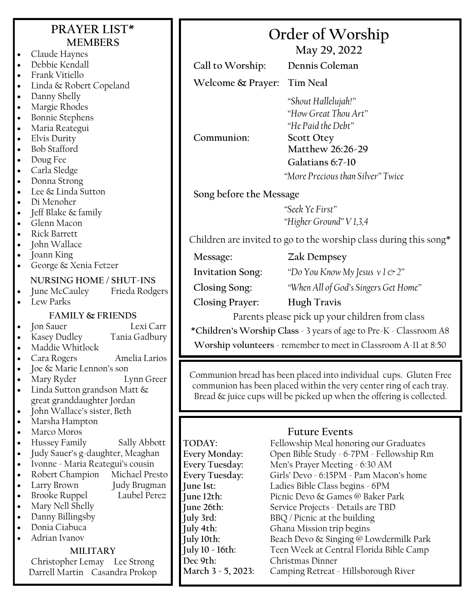| <b>PRAYER LIST*</b><br><b>MEMBERS</b><br>Claude Haynes<br>$\bullet$<br>Debbie Kendall<br>$\bullet$                                                                                                                                                                                                                                                                                                                                                                                                                                                               | Order of Worship<br>May 29, 2022                                                                                                                                                                                                                                                                                                                                                                                                                                                                                                                                                                                                                                                                                        |  |  |
|------------------------------------------------------------------------------------------------------------------------------------------------------------------------------------------------------------------------------------------------------------------------------------------------------------------------------------------------------------------------------------------------------------------------------------------------------------------------------------------------------------------------------------------------------------------|-------------------------------------------------------------------------------------------------------------------------------------------------------------------------------------------------------------------------------------------------------------------------------------------------------------------------------------------------------------------------------------------------------------------------------------------------------------------------------------------------------------------------------------------------------------------------------------------------------------------------------------------------------------------------------------------------------------------------|--|--|
| Frank Vitiello<br>$\bullet$                                                                                                                                                                                                                                                                                                                                                                                                                                                                                                                                      | Dennis Coleman<br>Call to Worship:                                                                                                                                                                                                                                                                                                                                                                                                                                                                                                                                                                                                                                                                                      |  |  |
| Linda & Robert Copeland<br>$\bullet$<br>Danny Shelly<br>$\bullet$<br>Margie Rhodes<br>$\bullet$<br><b>Bonnie Stephens</b><br>$\bullet$<br>Maria Reategui<br>$\bullet$<br>Elvis Durity<br>$\bullet$<br><b>Bob Stafford</b><br>$\bullet$<br>Doug Fee<br>$\bullet$<br>Carla Sledge<br>$\bullet$<br>Donna Strong<br>$\bullet$                                                                                                                                                                                                                                        | Welcome & Prayer:<br><b>Tim Neal</b><br>"Shout Hallelujah!"<br>"How Great Thou Art"<br>"He Paid the Debt"<br>Communion:<br><b>Scott Otey</b><br>Matthew 26:26-29<br>Galatians 6:7-10<br>"More Precious than Silver" Twice                                                                                                                                                                                                                                                                                                                                                                                                                                                                                               |  |  |
| Lee & Linda Sutton<br>$\bullet$                                                                                                                                                                                                                                                                                                                                                                                                                                                                                                                                  | Song before the Message                                                                                                                                                                                                                                                                                                                                                                                                                                                                                                                                                                                                                                                                                                 |  |  |
| Di Menoher<br>$\bullet$<br>Jeff Blake & family<br>$\bullet$<br>Glenn Macon<br>$\bullet$                                                                                                                                                                                                                                                                                                                                                                                                                                                                          | "Seek Ye First"<br>"Higher Ground" V 1,3,4                                                                                                                                                                                                                                                                                                                                                                                                                                                                                                                                                                                                                                                                              |  |  |
| <b>Rick Barrett</b><br>$\bullet$<br>John Wallace<br>$\bullet$                                                                                                                                                                                                                                                                                                                                                                                                                                                                                                    | Children are invited to go to the worship class during this song*                                                                                                                                                                                                                                                                                                                                                                                                                                                                                                                                                                                                                                                       |  |  |
| Joann King<br>$\bullet$<br>George & Xenia Fetzer<br>$\bullet$<br>NURSING HOME / SHUT-INS                                                                                                                                                                                                                                                                                                                                                                                                                                                                         | <b>Zak Dempsey</b><br>Message:<br><b>Invitation Song:</b><br>"Do You Know My Jesus $v \, 1 \, \mathfrak{S}$ 2"<br>Closing Song:<br>"When All of God's Singers Get Home"                                                                                                                                                                                                                                                                                                                                                                                                                                                                                                                                                 |  |  |
| Frieda Rodgers<br>June McCauley<br>$\bullet$<br>Lew Parks                                                                                                                                                                                                                                                                                                                                                                                                                                                                                                        | <b>Hugh Travis</b><br><b>Closing Prayer:</b>                                                                                                                                                                                                                                                                                                                                                                                                                                                                                                                                                                                                                                                                            |  |  |
| <b>FAMILY &amp; FRIENDS</b><br>Jon Sauer<br>Lexi Carr<br>$\bullet$<br>Kasey Dudley<br>Tania Gadbury<br>$\bullet$<br>Maddie Whitlock<br>Amelia Larios<br>Cara Rogers                                                                                                                                                                                                                                                                                                                                                                                              | Parents please pick up your children from class<br>*Children's Worship Class - 3 years of age to Pre-K - Classroom A8<br>Worship volunteers - remember to meet in Classroom A-11 at 8:50                                                                                                                                                                                                                                                                                                                                                                                                                                                                                                                                |  |  |
| Joe & Marie Lennon's son<br>Mary Ryder<br>Lynn Greer<br>Linda Sutton grandson Matt &<br>$\bullet$<br>great granddaughter Jordan<br>John Wallace's sister, Beth<br>$\bullet$                                                                                                                                                                                                                                                                                                                                                                                      | Communion bread has been placed into individual cups. Gluten Free<br>communion has been placed within the very center ring of each tray.<br>Bread & juice cups will be picked up when the offering is collected.                                                                                                                                                                                                                                                                                                                                                                                                                                                                                                        |  |  |
| Marsha Hampton<br>$\bullet$<br>Marco Moros<br>$\bullet$<br>Hussey Family<br>Sally Abbott<br>$\bullet$<br>Judy Sauer's g-daughter, Meaghan<br>$\bullet$<br>Ivonne - Maria Reategui's cousin<br>$\bullet$<br>Robert Champion<br>Michael Presto<br>$\bullet$<br>Judy Brugman<br>Larry Brown<br>$\bullet$<br>Laubel Perez<br><b>Brooke Ruppel</b><br>$\bullet$<br>Mary Nell Shelly<br>$\bullet$<br>Danny Billingsby<br>$\bullet$<br>Donia Ciabuca<br>$\bullet$<br>Adrian Ivanov<br><b>MILITARY</b><br>Christopher Lemay Lee Strong<br>Darrell Martin Casandra Prokop | <b>Future Events</b><br>TODAY:<br>Fellowship Meal honoring our Graduates<br>Open Bible Study - 6-7PM - Fellowship Rm<br>Every Monday:<br>Every Tuesday:<br>Men's Prayer Meeting - 6:30 AM<br>Every Tuesday:<br>Girls' Devo - 6:15PM - Pam Macon's home<br>Ladies Bible Class begins - 6PM<br>June 1st:<br>Picnic Devo & Games @ Baker Park<br>June 12th:<br>June 26th:<br>Service Projects - Details are TBD<br>July 3rd:<br>BBQ / Picnic at the building<br>Ghana Mission trip begins<br>July 4th:<br>Beach Devo & Singing @ Lowdermilk Park<br>July 10th:<br>July 10 - 16th:<br>Teen Week at Central Florida Bible Camp<br>Dec 9th:<br>Christmas Dinner<br>Camping Retreat - Hillsborough River<br>March 3 - 5, 2023: |  |  |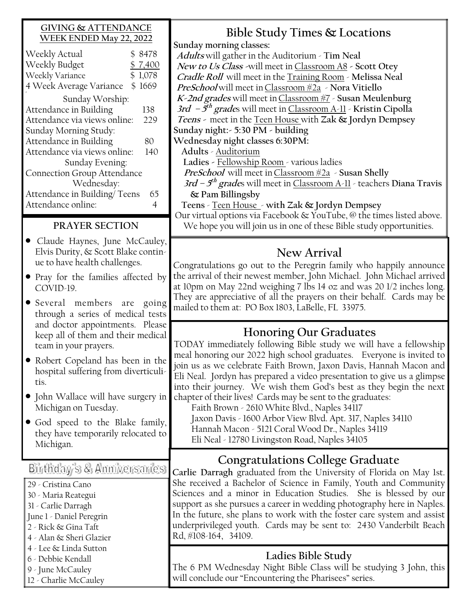#### **GIVING & ATTENDANCE WEEK ENDED May 22, 2022**

| Weekly Actual                      |  | \$ 8478 |  |  |
|------------------------------------|--|---------|--|--|
| Weekly Budget                      |  | \$7,400 |  |  |
| Weekly Variance                    |  | \$1,078 |  |  |
| 4 Week Average Variance            |  | \$1669  |  |  |
| Sunday Worship:                    |  |         |  |  |
| Attendance in Building             |  | 138     |  |  |
| Attendance via views online:       |  |         |  |  |
| Sunday Morning Study:              |  |         |  |  |
| Attendance in Building             |  | 80      |  |  |
| Attendance via views online:       |  | 140     |  |  |
| Sunday Evening:                    |  |         |  |  |
| <b>Connection Group Attendance</b> |  |         |  |  |
| Wednesday:                         |  |         |  |  |
| Attendance in Building/Teens       |  | 65      |  |  |
| Attendance online:                 |  |         |  |  |

### **PRAYER SECTION**

- Claude Haynes, June McCauley, Elvis Durity, & Scott Blake continue to have health challenges.
- Pray for the families affected by COVID-19.
- Several members are going through a series of medical tests and doctor appointments. Please keep all of them and their medical team in your prayers.
- Robert Copeland has been in the hospital suffering from diverticulitis.
- John Wallace will have surgery in Michigan on Tuesday.
- God speed to the Blake family, they have temporarily relocated to Michigan.

Birthday's & Anniversaries

29 - Cristina Cano 30 - Maria Reategui 31 - Carlie Darragh June 1 - Daniel Peregrin 2 - Rick & Gina Taft 4 - Alan & Sheri Glazier 4 - Lee & Linda Sutton 6 - Debbie Kendall 9 - June McCauley 12 - Charlie McCauley

**Bible Study Times & Locations Sunday morning classes: Adults** will gather in the Auditorium - **Tim Neal New to Us Class -**will meet in Classroom A8 **- Scott Otey Cradle Roll** will meet in the Training Room - **Melissa Neal PreSchool** will meet inClassroom #2a - **Nora Vitiello K-2nd grades** will meet inClassroom #7 - **Susan Meulenburg 3rd – 5 th grade**s will meet in Classroom A-11 - **Kristin Cipolla Teens -** meet in the Teen House with **Zak & Jordyn Dempsey Sunday night:- 5:30 PM - building Wednesday night classes 6:30PM: Adults** - Auditorium **Ladies -** Fellowship Room - various ladies *PreSchool* will meet in Classroom  $\frac{1}{2}$  - Susan Shelly **3rd – 5 th grade**s will meet in Classroom A-11 - teachers **Diana Travis & Pam Billingsby Teens** - Teen House - **with Zak & Jordyn Dempsey** Our virtual options via Facebook & YouTube, @ the times listed above. We hope you will join us in one of these Bible study opportunities.

# **New Arrival**

Congratulations go out to the Peregrin family who happily announce the arrival of their newest member, John Michael. John Michael arrived at 10pm on May 22nd weighing 7 lbs 14 oz and was 20 1/2 inches long. They are appreciative of all the prayers on their behalf. Cards may be mailed to them at: PO Box 1803, LaBelle, FL 33975.

## **Honoring Our Graduates**

TODAY immediately following Bible study we will have a fellowship meal honoring our 2022 high school graduates. Everyone is invited to join us as we celebrate Faith Brown, Jaxon Davis, Hannah Macon and Eli Neal. Jordyn has prepared a video presentation to give us a glimpse into their journey. We wish them God's best as they begin the next chapter of their lives! Cards may be sent to the graduates:

Faith Brown - 2610 White Blvd., Naples 34117 Jaxon Davis - 1600 Arbor View Blvd. Apt. 317, Naples 34110 Hannah Macon - 5121 Coral Wood Dr., Naples 34119 Eli Neal - 12780 Livingston Road, Naples 34105

# **Congratulations College Graduate**

**Carlie Darragh** graduated from the University of Florida on May 1st. She received a Bachelor of Science in Family, Youth and Community Sciences and a minor in Education Studies. She is blessed by our support as she pursues a career in wedding photography here in Naples. In the future, she plans to work with the foster care system and assist underprivileged youth. Cards may be sent to: 2430 Vanderbilt Beach Rd, #108-164, 34109.

### **Ladies Bible Study**

The 6 PM Wednesday Night Bible Class will be studying 3 John, this will conclude our "Encountering the Pharisees" series.